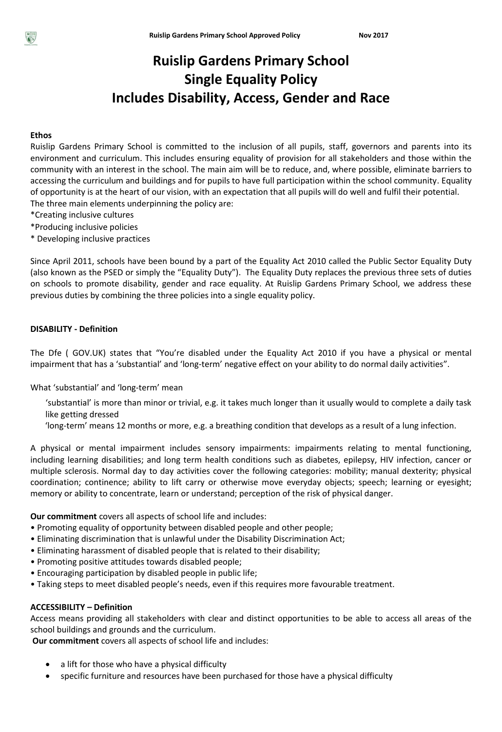## **Ruislip Gardens Primary School Single Equality Policy Includes Disability, Access, Gender and Race**

#### **Ethos**

Ruislip Gardens Primary School is committed to the inclusion of all pupils, staff, governors and parents into its environment and curriculum. This includes ensuring equality of provision for all stakeholders and those within the community with an interest in the school. The main aim will be to reduce, and, where possible, eliminate barriers to accessing the curriculum and buildings and for pupils to have full participation within the school community. Equality of opportunity is at the heart of our vision, with an expectation that all pupils will do well and fulfil their potential. The three main elements underpinning the policy are:

- \*Creating inclusive cultures
- \*Producing inclusive policies
- \* Developing inclusive practices

Since April 2011, schools have been bound by a part of the Equality Act 2010 called the Public Sector Equality Duty (also known as the PSED or simply the "Equality Duty"). The Equality Duty replaces the previous three sets of duties on schools to promote disability, gender and race equality. At Ruislip Gardens Primary School, we address these previous duties by combining the three policies into a single equality policy.

#### **DISABILITY - Definition**

The Dfe ( GOV.UK) states that "You're disabled under the Equality Act 2010 if you have a physical or mental impairment that has a 'substantial' and 'long-term' negative effect on your ability to do normal daily activities".

What 'substantial' and 'long-term' mean

- 'substantial' is more than minor or trivial, e.g. it takes much longer than it usually would to complete a daily task like getting dressed
- 'long-term' means 12 months or more, e.g. a breathing condition that develops as a result of a lung infection.

A physical or mental impairment includes sensory impairments: impairments relating to mental functioning, including learning disabilities; and long term health conditions such as diabetes, epilepsy, HIV infection, cancer or multiple sclerosis. Normal day to day activities cover the following categories: mobility; manual dexterity; physical coordination; continence; ability to lift carry or otherwise move everyday objects; speech; learning or eyesight; memory or ability to concentrate, learn or understand; perception of the risk of physical danger.

**Our commitment** covers all aspects of school life and includes:

- Promoting equality of opportunity between disabled people and other people;
- Eliminating discrimination that is unlawful under the Disability Discrimination Act;
- Eliminating harassment of disabled people that is related to their disability;
- Promoting positive attitudes towards disabled people;
- Encouraging participation by disabled people in public life;
- Taking steps to meet disabled people's needs, even if this requires more favourable treatment.

#### **ACCESSIBILITY – Definition**

Access means providing all stakeholders with clear and distinct opportunities to be able to access all areas of the school buildings and grounds and the curriculum.

**Our commitment** covers all aspects of school life and includes:

- a lift for those who have a physical difficulty
- specific furniture and resources have been purchased for those have a physical difficulty

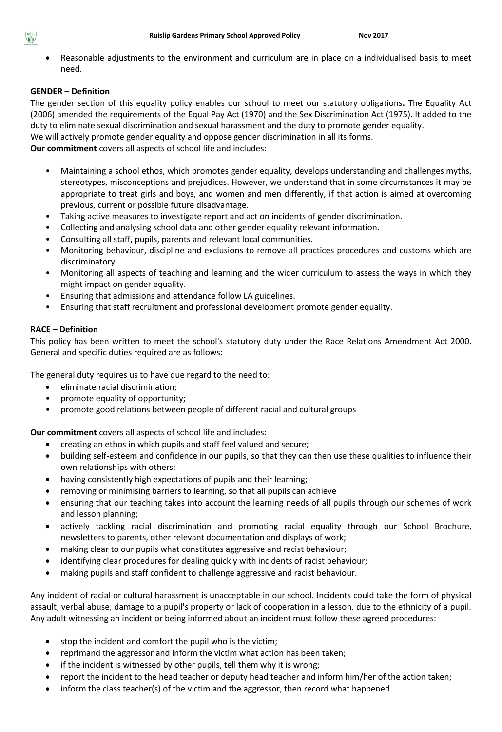Reasonable adjustments to the environment and curriculum are in place on a individualised basis to meet need.

### **GENDER – Definition**

The gender section of this equality policy enables our school to meet our statutory obligations**.** The Equality Act (2006) amended the requirements of the Equal Pay Act (1970) and the Sex Discrimination Act (1975). It added to the duty to eliminate sexual discrimination and sexual harassment and the duty to promote gender equality.

We will actively promote gender equality and oppose gender discrimination in all its forms.

**Our commitment** covers all aspects of school life and includes:

- Maintaining a school ethos, which promotes gender equality, develops understanding and challenges myths, stereotypes, misconceptions and prejudices. However, we understand that in some circumstances it may be appropriate to treat girls and boys, and women and men differently, if that action is aimed at overcoming previous, current or possible future disadvantage.
- Taking active measures to investigate report and act on incidents of gender discrimination.
- Collecting and analysing school data and other gender equality relevant information.
- Consulting all staff, pupils, parents and relevant local communities.
- Monitoring behaviour, discipline and exclusions to remove all practices procedures and customs which are discriminatory.
- Monitoring all aspects of teaching and learning and the wider curriculum to assess the ways in which they might impact on gender equality.
- Ensuring that admissions and attendance follow LA guidelines.
- Ensuring that staff recruitment and professional development promote gender equality.

#### **RACE – Definition**

This policy has been written to meet the school's statutory duty under the Race Relations Amendment Act 2000. General and specific duties required are as follows:

The general duty requires us to have due regard to the need to:

- eliminate racial discrimination;
- promote equality of opportunity;
- promote good relations between people of different racial and cultural groups

**Our commitment** covers all aspects of school life and includes:

- creating an ethos in which pupils and staff feel valued and secure;
- building self-esteem and confidence in our pupils, so that they can then use these qualities to influence their own relationships with others;
- having consistently high expectations of pupils and their learning;
- removing or minimising barriers to learning, so that all pupils can achieve
- ensuring that our teaching takes into account the learning needs of all pupils through our schemes of work and lesson planning;
- actively tackling racial discrimination and promoting racial equality through our School Brochure, newsletters to parents, other relevant documentation and displays of work;
- making clear to our pupils what constitutes aggressive and racist behaviour;
- identifying clear procedures for dealing quickly with incidents of racist behaviour;
- making pupils and staff confident to challenge aggressive and racist behaviour.

Any incident of racial or cultural harassment is unacceptable in our school. Incidents could take the form of physical assault, verbal abuse, damage to a pupil's property or lack of cooperation in a lesson, due to the ethnicity of a pupil. Any adult witnessing an incident or being informed about an incident must follow these agreed procedures:

- stop the incident and comfort the pupil who is the victim;
- reprimand the aggressor and inform the victim what action has been taken;
- if the incident is witnessed by other pupils, tell them why it is wrong;
- report the incident to the head teacher or deputy head teacher and inform him/her of the action taken;
- inform the class teacher(s) of the victim and the aggressor, then record what happened.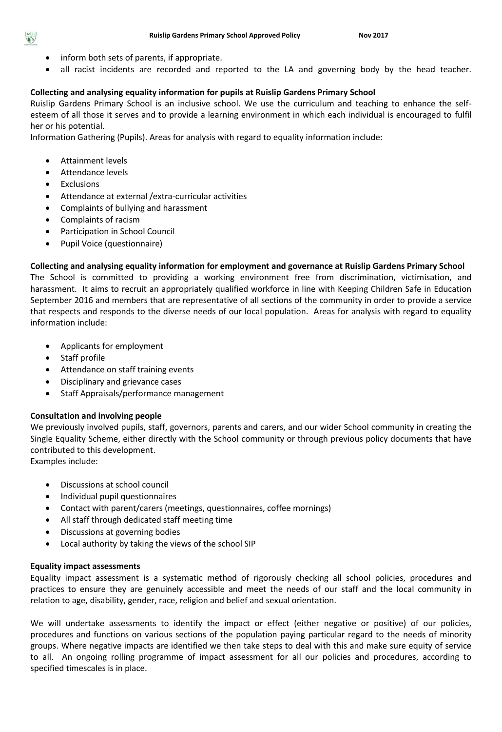- inform both sets of parents, if appropriate.
- all racist incidents are recorded and reported to the LA and governing body by the head teacher.

### **Collecting and analysing equality information for pupils at Ruislip Gardens Primary School**

Ruislip Gardens Primary School is an inclusive school. We use the curriculum and teaching to enhance the selfesteem of all those it serves and to provide a learning environment in which each individual is encouraged to fulfil her or his potential.

Information Gathering (Pupils). Areas for analysis with regard to equality information include:

- Attainment levels
- Attendance levels
- Exclusions
- Attendance at external /extra-curricular activities
- Complaints of bullying and harassment
- Complaints of racism
- Participation in School Council
- Pupil Voice (questionnaire)

#### **Collecting and analysing equality information for employment and governance at Ruislip Gardens Primary School**

The School is committed to providing a working environment free from discrimination, victimisation, and harassment. It aims to recruit an appropriately qualified workforce in line with Keeping Children Safe in Education September 2016 and members that are representative of all sections of the community in order to provide a service that respects and responds to the diverse needs of our local population. Areas for analysis with regard to equality information include:

- Applicants for employment
- Staff profile
- Attendance on staff training events
- Disciplinary and grievance cases
- Staff Appraisals/performance management

#### **Consultation and involving people**

We previously involved pupils, staff, governors, parents and carers, and our wider School community in creating the Single Equality Scheme, either directly with the School community or through previous policy documents that have contributed to this development.

Examples include:

- Discussions at school council
- Individual pupil questionnaires
- Contact with parent/carers (meetings, questionnaires, coffee mornings)
- All staff through dedicated staff meeting time
- Discussions at governing bodies
- Local authority by taking the views of the school SIP

#### **Equality impact assessments**

Equality impact assessment is a systematic method of rigorously checking all school policies, procedures and practices to ensure they are genuinely accessible and meet the needs of our staff and the local community in relation to age, disability, gender, race, religion and belief and sexual orientation.

We will undertake assessments to identify the impact or effect (either negative or positive) of our policies, procedures and functions on various sections of the population paying particular regard to the needs of minority groups. Where negative impacts are identified we then take steps to deal with this and make sure equity of service to all. An ongoing rolling programme of impact assessment for all our policies and procedures, according to specified timescales is in place.

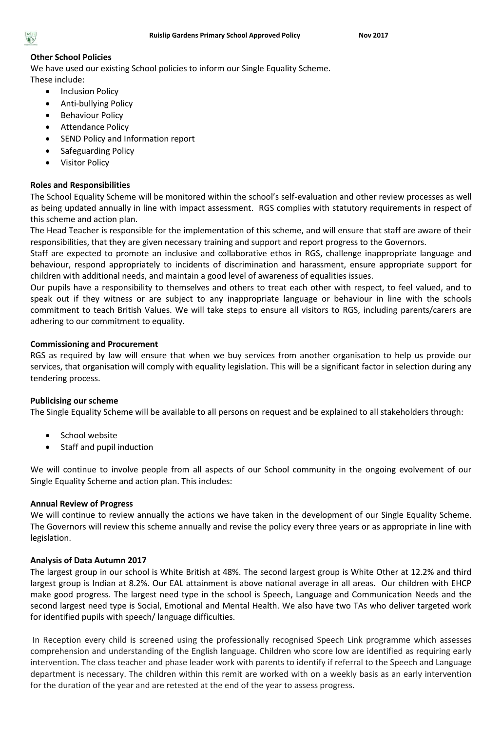#### **Other School Policies**

We have used our existing School policies to inform our Single Equality Scheme. These include:

- Inclusion Policy
- Anti-bullying Policy
- **•** Behaviour Policy
- Attendance Policy
- SEND Policy and Information report
- Safeguarding Policy
- Visitor Policy

#### **Roles and Responsibilities**

The School Equality Scheme will be monitored within the school's self-evaluation and other review processes as well as being updated annually in line with impact assessment. RGS complies with statutory requirements in respect of this scheme and action plan.

The Head Teacher is responsible for the implementation of this scheme, and will ensure that staff are aware of their responsibilities, that they are given necessary training and support and report progress to the Governors.

Staff are expected to promote an inclusive and collaborative ethos in RGS, challenge inappropriate language and behaviour, respond appropriately to incidents of discrimination and harassment, ensure appropriate support for children with additional needs, and maintain a good level of awareness of equalities issues.

Our pupils have a responsibility to themselves and others to treat each other with respect, to feel valued, and to speak out if they witness or are subject to any inappropriate language or behaviour in line with the schools commitment to teach British Values. We will take steps to ensure all visitors to RGS, including parents/carers are adhering to our commitment to equality.

#### **Commissioning and Procurement**

RGS as required by law will ensure that when we buy services from another organisation to help us provide our services, that organisation will comply with equality legislation. This will be a significant factor in selection during any tendering process.

#### **Publicising our scheme**

The Single Equality Scheme will be available to all persons on request and be explained to all stakeholders through:

- School website
- Staff and pupil induction

We will continue to involve people from all aspects of our School community in the ongoing evolvement of our Single Equality Scheme and action plan. This includes:

#### **Annual Review of Progress**

We will continue to review annually the actions we have taken in the development of our Single Equality Scheme. The Governors will review this scheme annually and revise the policy every three years or as appropriate in line with legislation.

#### **Analysis of Data Autumn 2017**

The largest group in our school is White British at 48%. The second largest group is White Other at 12.2% and third largest group is Indian at 8.2%. Our EAL attainment is above national average in all areas. Our children with EHCP make good progress. The largest need type in the school is Speech, Language and Communication Needs and the second largest need type is Social, Emotional and Mental Health. We also have two TAs who deliver targeted work for identified pupils with speech/ language difficulties.

In Reception every child is screened using the professionally recognised Speech Link programme which assesses comprehension and understanding of the English language. Children who score low are identified as requiring early intervention. The class teacher and phase leader work with parents to identify if referral to the Speech and Language department is necessary. The children within this remit are worked with on a weekly basis as an early intervention for the duration of the year and are retested at the end of the year to assess progress.

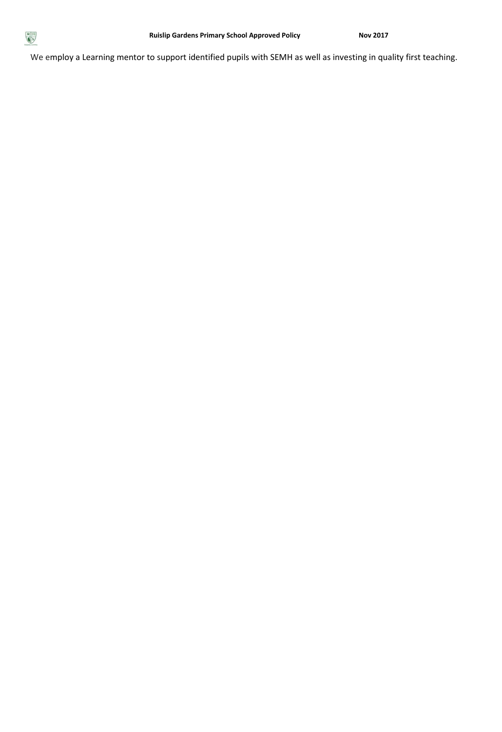

We employ a Learning mentor to support identified pupils with SEMH as well as investing in quality first teaching.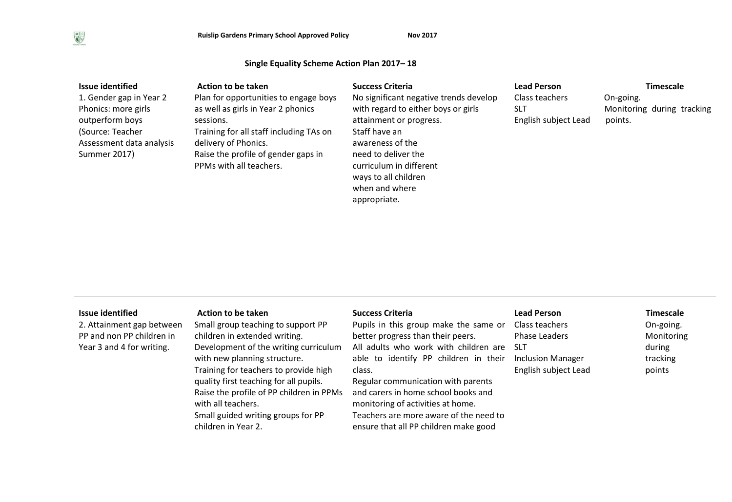#### **Single Equality Scheme Action Plan 2017– 18**

| <b>Issue identified</b>  | Action to be taken                      | <b>Success Criteria</b>                | <b>Lead Person</b>   | <b>Timescale</b>           |
|--------------------------|-----------------------------------------|----------------------------------------|----------------------|----------------------------|
| 1. Gender gap in Year 2  | Plan for opportunities to engage boys   | No significant negative trends develop | Class teachers       | On-going.                  |
| Phonics: more girls      | as well as girls in Year 2 phonics      | with regard to either boys or girls    | SLT                  | Monitoring during tracking |
| outperform boys          | sessions.                               | attainment or progress.                | English subject Lead | points.                    |
| (Source: Teacher)        | Training for all staff including TAs on | Staff have an                          |                      |                            |
| Assessment data analysis | delivery of Phonics.                    | awareness of the                       |                      |                            |
| Summer 2017)             | Raise the profile of gender gaps in     | need to deliver the                    |                      |                            |
|                          | PPMs with all teachers.                 | curriculum in different                |                      |                            |
|                          |                                         | ways to all children                   |                      |                            |
|                          |                                         | when and where                         |                      |                            |

appropriate.

| <b>Issue identified</b> |  |  |  |
|-------------------------|--|--|--|
|-------------------------|--|--|--|

2. Attainment gap between PP and non PP children in Year 3 and 4 for writing.

#### Issue identified **Action to be taken** Success Criteria **Action 2016** Timescale **Read Person** Timescale

Small group teaching to support PP children in extended writing. Development of the writing curriculum with new planning structure. Training for teachers to provide high quality first teaching for all pupils. Raise the profile of PP children in PPMs with all teachers. Small guided writing groups for PP children in Year 2.

Pupils in this group make the same or better progress than their peers. All adults who work with children are SLT able to identify PP children in their class.

Regular communication with parents and carers in home school books and monitoring of activities at home. Teachers are more aware of the need to ensure that all PP children make good

Class teachers Phase Leaders Inclusion Manager English subject Lead

# On-going.

Monitoring during tracking points